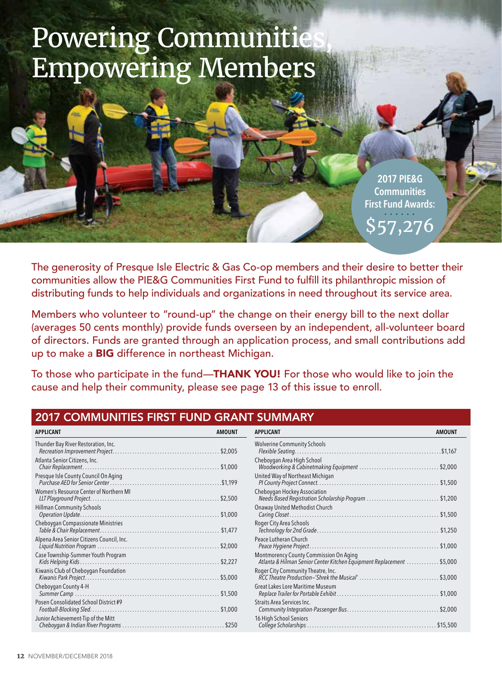# Powering Communitie Empowering Members

**2017 PIE&G Communities First Fund Awards:**  \$57,276

The generosity of Presque Isle Electric & Gas Co-op members and their desire to better their communities allow the PIE&G Communities First Fund to fulfill its philanthropic mission of distributing funds to help individuals and organizations in need throughout its service area.

Members who volunteer to "round-up" the change on their energy bill to the next dollar (averages 50 cents monthly) provide funds overseen by an independent, all-volunteer board of directors. Funds are granted through an application process, and small contributions add up to make a BIG difference in northeast Michigan.

To those who participate in the fund—THANK YOU! For those who would like to join the cause and help their community, please see page 13 of this issue to enroll.

## 2017 COMMUNITIES FIRST FUND GRANT SUMMARY

| <b>APPLICANT</b>                          | <b>AMOUNT</b> | <b>APPLICANT</b>                                                                                       | <b>AMOUNT</b> |
|-------------------------------------------|---------------|--------------------------------------------------------------------------------------------------------|---------------|
| Thunder Bay River Restoration, Inc.       |               | <b>Wolverine Community Schools</b>                                                                     | $.$ \$1,167   |
| Atlanta Senior Citizens, Inc.             |               | Cheboygan Area High School<br>Woodworking & Cabinetmaking Equipment                                    | . \$2,000     |
| Presque Isle County Council On Aging      |               | United Way of Northeast Michigan                                                                       | \$1,500       |
| Women's Resource Center of Northern MI    |               | Cheboygan Hockey Association<br>Needs Based Registration Scholarship Program                           | \$1,200       |
| <b>Hillman Community Schools</b>          |               | Onaway United Methodist Church                                                                         | \$1,500       |
| Cheboygan Compassionate Ministries        |               | Roger City Area Schools                                                                                | \$1,250       |
| Alpena Area Senior Citizens Council, Inc. |               | Peace Lutheran Church                                                                                  | $.$ \$1,000   |
| Case Township-Summer Youth Program        |               | Montmorency County Commission On Aging<br>Atlanta & Hilman Senior Center Kitchen Equipment Replacement | . \$5,000     |
| Kiwanis Club of Cheboygan Foundation      |               | Roger City Community Theatre, Inc.                                                                     | 53,000        |
| Cheboygan County 4-H                      |               | Great Lakes Lore Maritime Museum                                                                       | \$1,000       |
| Posen Consolidated School District #9     |               | Straits Area Services Inc.                                                                             | \$2,000       |
| Junior Achievement-Tip of the Mitt        |               | 16 High School Seniors                                                                                 | \$15,500      |
|                                           |               |                                                                                                        |               |